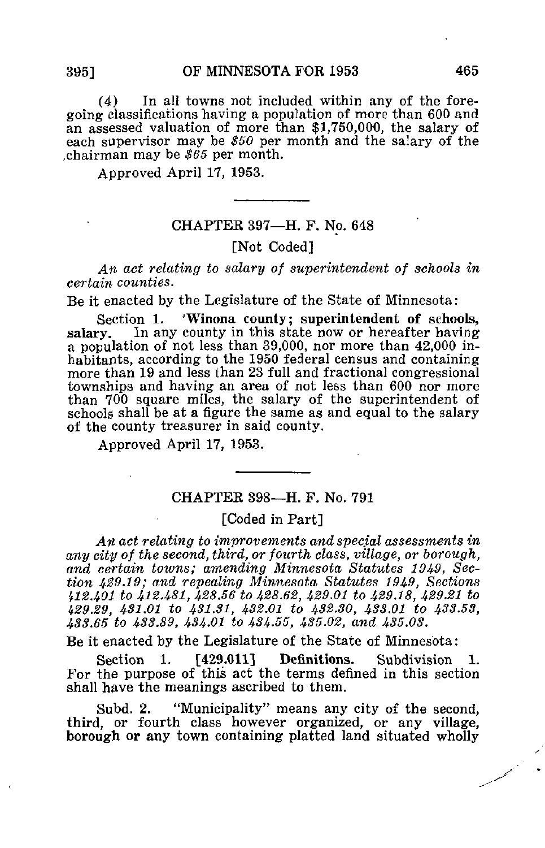(4) In all towns not included within any of the foregoing classifications having a population of more than 600 and an assessed valuation of more than \$1,750,000, the salary of each supervisor may be \$50 per month and the salary of the chairman may be  $$65$  per month.

Approved April 17, 1953.

## CHAPTER 397—H. F. No. 648

#### [Not Coded]

An act relating to salary of superintendent of schools in certain counties.

Be it enacted by the Legislature of the State of Minnesota:

Section 1. 'Winona county; superintendent of schools, salary. In any county in this state now or hereafter having a population of not less than 39,000, nor more than 42,000 inhabitants, according to the 1950 federal census and containing more than 19 and less than 23 full and fractional congressional townships and having an area of not less than 600 nor more than 700 square miles, the salary of the superintendent of schools shall be at a figure the same as and equal to the salary of the county treasurer in said county.

Approved April 17, 1953.

## CHAPTER 398—H. F. No. 791

#### [Coded in Part]

An act relating to improvements and special assessments in any city of the second, third, or fourth class, village, or borough, and certain towns; amending Minnesota Statutes 1949, Section 429,19; and repealing Minnesota Statutes 1949, Sections '<sup>f</sup>12.40l to 412.481, 428.56 to 428.62, 429.01 to 429.18, 429.21 to 429.29, 431.01 to 431.31, 432.01 to 432.30, 433.01 to 433.53, 433.65 to 433.89, 434-01 to 434-55, 435.02, and 435.03.

Be it enacted by the Legislature of the State of Minnesota:

Section 1. [429.011] Definitions. Subdivision 1. For the purpose of this act the terms defined in this section shall have the meanings ascribed to them.

Subd. 2. "Municipality" means any city of the second, third, or fourth class however organized, or any village, borough or any town containing platted land situated wholly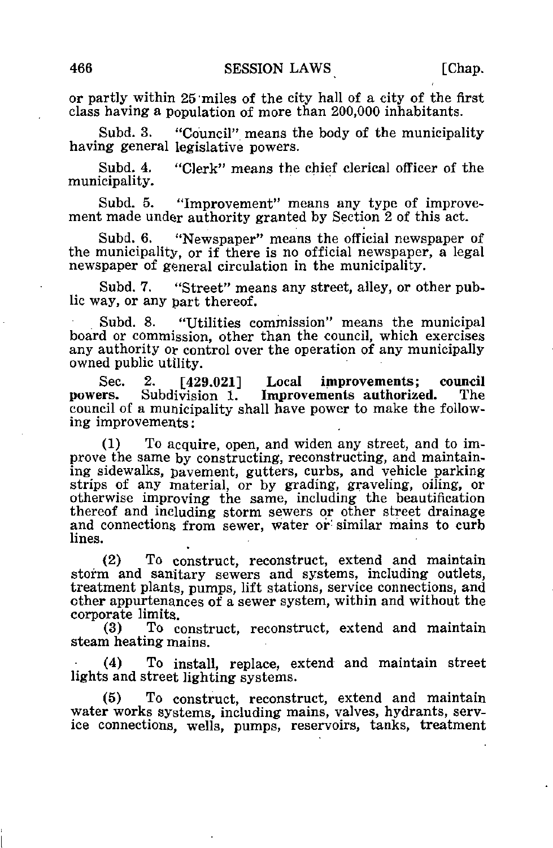or partly within 25'miles of the city hall of a city of the first class having a population of more than 200,000 inhabitants.

Subd. 3. "Council" means the body of the municipality having general legislative powers.

Subd, 4. "Clerk" means the chief clerical officer of the municipality.

Subd. 5. "Improvement" means any type of improvement made under authority granted by Section 2 of this act.

Subd. 6. "Newspaper" means the official newspaper of the municipality, or if there is no official newspaper, a legal newspaper of general circulation in the municipality.

Subd. 7. "Street" means any street, alley, or other public way, or any part thereof.

Subd. 8. "Utilities commission" means the municipal board or commission, other than the council, which exercises any authority or control over the operation of any municipally owned public utility.

Sec. 2. [429.021] Local improvements; council powers. Subdivision 1. Improvements authorized. The Improvements authorized. council of a municipality shall have power to make the following improvements:

(1) To acquire, open, and widen any street, and to improve the same by constructing, reconstructing, and maintaining sidewalks, pavement, gutters, curbs, and vehicle parking strips of any material, or by grading, graveling, oiling, or otherwise improving the same, including the beautification thereof and including storm sewers or other street drainage and connections from sewer, water or similar mains to curb lines.

(2) To construct, reconstruct, extend and maintain storm and sanitary sewers and systems, including outlets, treatment plants, pumps, lift stations, service connections, and other appurtenances of a sewer system, within and without the corporate limits.<br>(3) To  $\alpha$ 

To construct, reconstruct, extend and maintain steam heating mains.

(4) To install, replace, extend and maintain street lights and street lighting systems.

(5) To construct, reconstruct, extend and maintain water works systems, including mains, valves, hydrants, service connections, wells, pumps, reservoirs, tanks, treatment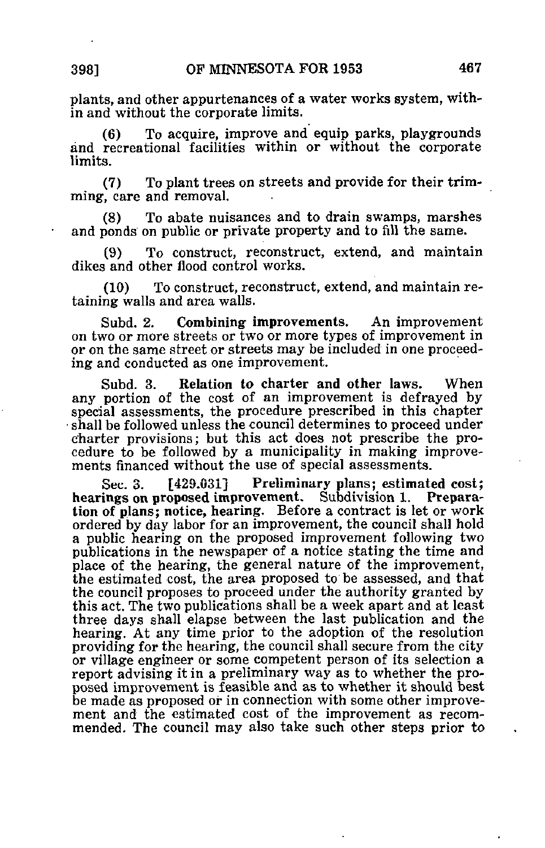plants, and other appurtenances of a water works system, within and without the corporate limits.

(6) To acquire, improve and equip parks, playgrounds and recreational facilities within or without the corporate limits.

(7) To plant trees on streets and provide for their trimming, care and removal.

(8) To abate nuisances and to drain swamps, marshes and ponds on public or private property and to fill the same.

(9) To construct, reconstruct, extend, and maintain dikes and other flood control works.

(10) To construct, reconstruct, extend, and maintain retaining walls and area walls.

Subd. 2. Combining improvements. An improvement on two or more streets or two or more types of improvement in or on the same street or streets may be included in one proceeding and conducted as one improvement.

Subd. 3. Relation to charter and other laws. When any portion of the cost of an improvement is defrayed by special assessments, the procedure prescribed in this chapter • shall be followed unless the council determines to proceed under charter provisions; but this act does not prescribe the procedure to be followed by a municipality in making improvements financed without the use of special assessments.

Sec. 3. [429.031] Preliminary plans; estimated cost; hearings on proposed improvement. Subdivision 1. Preparation of plans; notice, hearing. Before a contract is let or work ordered by day labor for an improvement, the council shall hold a public hearing on the proposed improvement following two publications in the newspaper of a notice stating the time and place of the hearing, the general nature of the improvement, the estimated cost, the area proposed to be assessed, and that the council proposes to proceed under the authority granted by this act. The two publications shall be a week apart and at least three days shall elapse between the last publication and the hearing. At any time prior to the adoption of the resolution providing for the hearing, the council shall secure from the city or village engineer or some competent person of its selection a report advising it in a preliminary way as to whether the proposed improvement is feasible and as to whether it should best be made as proposed or in connection with some other improvement and the estimated cost of the improvement as recommended. The council may also take such other steps prior to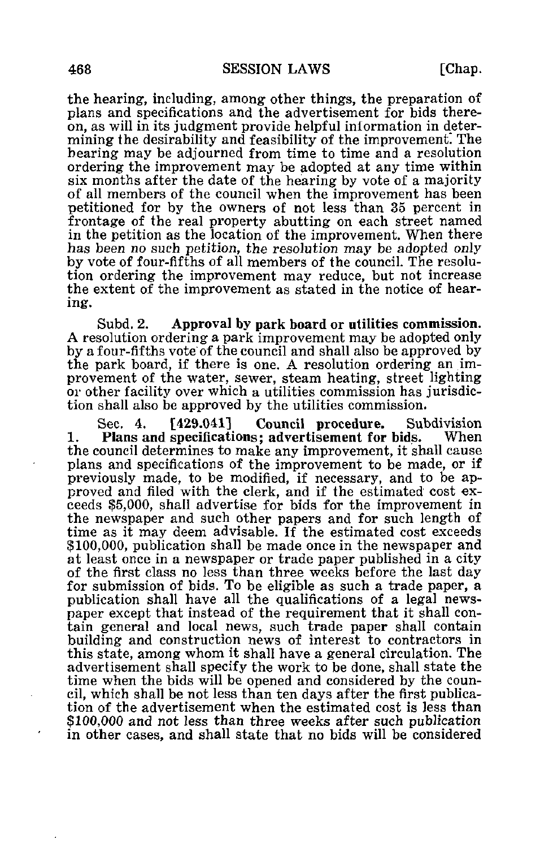the hearing, including, among other things, the preparation of plans and specifications and the advertisement for bids thereon, as will in its judgment provide helpful inlormation in determining the desirability and feasibility of the improvement. The hearing may be adjourned from time to time and a resolution ordering the improvement may be adopted at any time within six months after the date of the hearing by vote of a majority of all members of the council when the improvement has been petitioned for by the owners of not less than 35 percent in frontage of the real property abutting on each street named in the petition as the location of the improvement. When there has been no such petition, the resolution may be adopted only by vote of four-fifths of all members of the council. The resolution ordering the improvement may reduce, but not increase the extent of the improvement as stated in the notice of hearing.

Subd. 2. Approval by park board or utilities commission. A resolution ordering a park improvement may be adopted only by a four-fifths vote of the council and shall also be approved by the park board, if there is one. A resolution ordering an improvement of the water, sewer, steam heating, street lighting or other facility over which a utilities commission has jurisdiction shall also be approved by the utilities commission.

Sec. 4. [429.041] Council procedure. Subdivision<br>Plans and specifications: advertisement for hids. When 1. Plans and specifications; advertisement for bids. the council determines to make any improvement, it shall cause plans and specifications of the improvement to be made, or if previously made, to be modified, if necessary, and to be approved and filed with the clerk, and if the estimated cost exceeds \$5,000, shall advertise for bids for the improvement in the newspaper and such other papers and for such length of time as it may deem advisable. If the estimated cost exceeds \$100,000, publication shall be made once in the newspaper and at least once in a newspaper or trade paper published in a city of the first class no less than three weeks before the last day for submission of bids. To be eligible as such a trade paper, a publication shall have all the qualifications of a legal newspaper except that instead of the requirement that it shall contain general and local news, such trade paper shall contain building and construction news of interest to contractors in this state, among whom it shall have a general circulation. The advertisement shall specify the work to be done, shall state the time when the bids will be opened and considered by the council, which shall be not less than ten days after the first publication of the advertisement when the estimated cost is less than \$100,000 and not less than three weeks after such publication in other cases, and shall state that no bids will be considered

 $\pmb{\cdot}$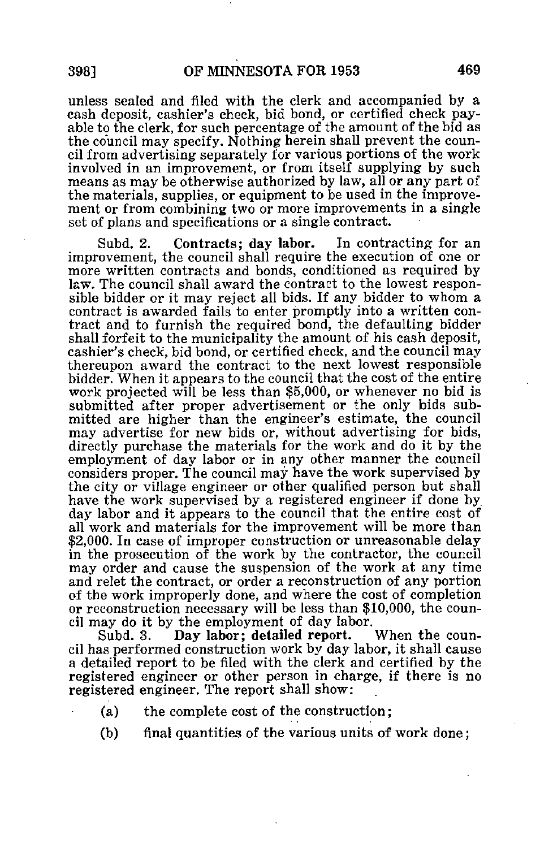unless sealed and filed with the clerk and accompanied by a cash deposit, cashier's check, bid bond, or certified check payable to the clerk, for such percentage of the amount of the bid as the council may specify. Nothing herein shall prevent the council from advertising separately for various portions of the work involved in an improvement, or from itself supplying by such means as may be otherwise authorized by law, all or any part of the materials, supplies, or equipment to be used in the improvement or from combining two or more improvements in a single set of plans and specifications or a single contract.

Subd. 2. Contracts; day labor. In contracting for an improvement, the council shall require the execution of one or more written contracts and bonds, conditioned as required by law. The council shall award the contract to the lowest responsible bidder or it may reject all bids. If any bidder to whom a contract is awarded fails to enter promptly into a written contract and to furnish the required bond, the defaulting bidder shall forfeit to the municipality the amount of his cash deposit, cashier's check, bid bond, or certified check, and the council may thereupon award the contract to the next lowest responsible bidder. When it appears to the council that the cost of the entire work projected will be less than \$5,000, or whenever no bid is submitted after proper advertisement or the only bids submitted are higher than the engineer's estimate, the council may advertise for new bids or, without advertising for bids, directly purchase the materials for the work and do it by the employment of day labor or in any other manner the council considers proper. The council may have the work supervised by the city or village engineer or other qualified person but shall have the work supervised by a registered engineer if done by day labor and it appears to the council that the entire cost of all work and materials for the improvement will be more than \$2,000. In case of improper construction or unreasonable delay in the prosecution of the work by the contractor, the council may order and cause the suspension of the work at any time and relet the contract, or order a reconstruction of any portion of the work improperly done, and where the cost of completion or reconstruction necessary will be less than \$10,000, the council may do it by the employment of day labor.<br>Subd. 3. Day labor; detailed report. When the coun-

Day labor: detailed report. cil has performed construction work by day labor, it shall cause a detailed report to be filed with the clerk and certified by the registered engineer or other person in charge, if there is no registered engineer. The report shall show:

- (a) the complete cost of the construction;
	- (b) final quantities of the various units of work done;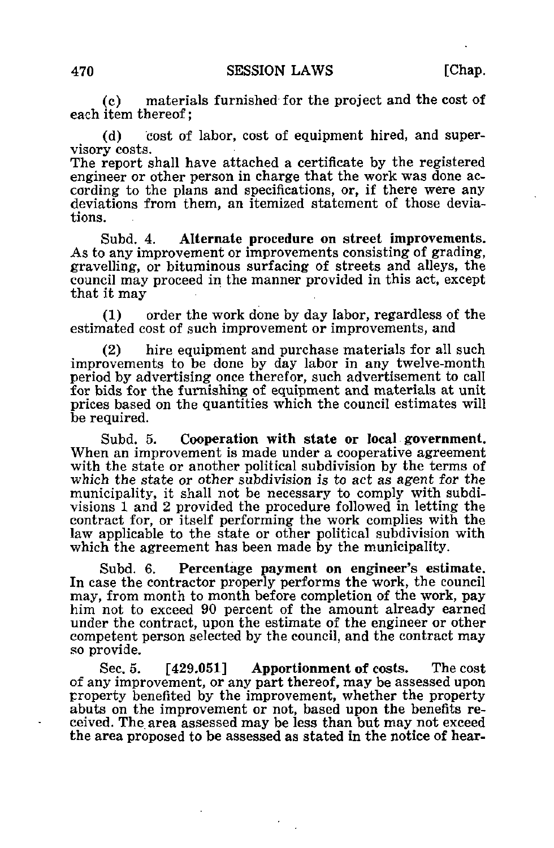(c) materials furnished for the project and the cost of each item thereof:

(d) cost of labor, cost of equipment hired, and supervisory costs.

The report shall have attached a certificate by the registered engineer or other person in charge that the work was done according to the plans and specifications, or, if there were any deviations from them, an itemized statement of those deviations.

Subd. 4. Alternate procedure on street improvements. As to any improvement or improvements consisting of grading, gravelling, or bituminous surfacing of streets and alleys, the council may proceed in the manner provided in this act, except that it may

(1) order the work done by day labor, regardless of the estimated cost of such improvement or improvements, and

(2) hire equipment and purchase materials for all such improvements to be done by day labor in any twelve-month period by advertising once therefor, such advertisement to call for bids for the furnishing of equipment and materials at unit prices based on the quantities which the council estimates will be required.

Subd. 5. Cooperation with state or local government. When an improvement is made under a cooperative agreement with the state or another political subdivision by the terms of which the state or other subdivision is to act as agent for the municipality, it shall not be necessary to comply with subdivisions 1 and 2 provided the procedure followed in letting the contract for, or itself performing the work complies with the law applicable to the state or other political subdivision with which the agreement has been made by the municipality.

Subd. 6. Percentage payment on engineer's estimate. In case the contractor properly performs the work, the council may, from month to month before completion of the work, pay him not to exceed 90 percent of the amount already earned under the contract, upon the estimate of the engineer or other competent person selected by the council, and the contract may so provide.

Sec. 5. [429.051] Apportionment of costs. The cost of any improvement, or any part thereof, may be assessed upon property benefited by the improvement, whether the property abuts on the improvement or not, based upon the benefits received. The area assessed may be less than but may not exceed the area proposed to be assessed as stated in the notice of hear-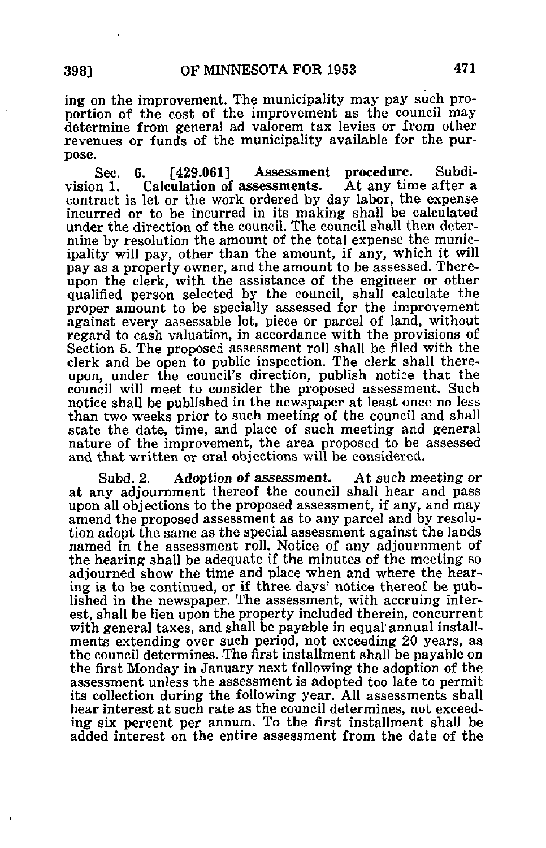ing on the improvement. The municipality may pay such proportion of the cost of the improvement as the council may determine from general ad valorem tax levies or from other revenues or funds of the municipality available for the purpose.

Sec. 6. [429.061] Assessment procedure. Subdivision 1. Calculation of assessments. At any time after a Calculation of assessments. contract is let or the work ordered by day labor, the expense incurred or to be incurred in its making shall be calculated under the direction of the council. The council shall then determine by resolution the amount of the total expense the municipality will pay, other than the amount, if any, which it will pay as a property owner, and the amount to be assessed. Thereupon the clerk, with the assistance of the engineer or other qualified person selected by the council, shall calculate the proper amount to be specially assessed for the improvement against every assessable lot, piece or parcel of land, without regard to cash valuation, in accordance with the provisions of Section 5. The proposed assessment roll shall be filed with the clerk and be open to public inspection. The clerk shall thereupon, under the council's direction, publish notice that the council will meet to consider the proposed assessment. Such notice shall be published in the newspaper at least once no less than two weeks prior to such meeting of the council and shall state the date, time, and place of such meeting and general nature of the improvement, the area proposed to be assessed and that written or oral objections will be considered.

Subd. 2. Adoption of assessment. At such meeting or at any adjournment thereof the council shall hear and pass upon all objections to the proposed assessment, if any, and may amend the proposed assessment as to any parcel and by resolution adopt the same as the special assessment against the lands named in the assessment roll. Notice of any adjournment of the hearing shall be adequate if the minutes of the meeting so adjourned show the time and place when and where the hearing is to be continued, or if three days' notice thereof be published in the newspaper. The assessment, with accruing interest, shall be lien upon the property included therein, concurrent with general taxes, and shall be payable in equal annual installments extending over such period, not exceeding 20 years, as the council determines. The first installment shall be payable on the first Monday in January next following the adoption of the assessment unless the assessment is adopted too late to permit its collection during the following year. All assessments shall hear interest at such rate as the council determines, not exceeding six percent per annum. To the first installment shall be added interest on the entire assessment from the date of the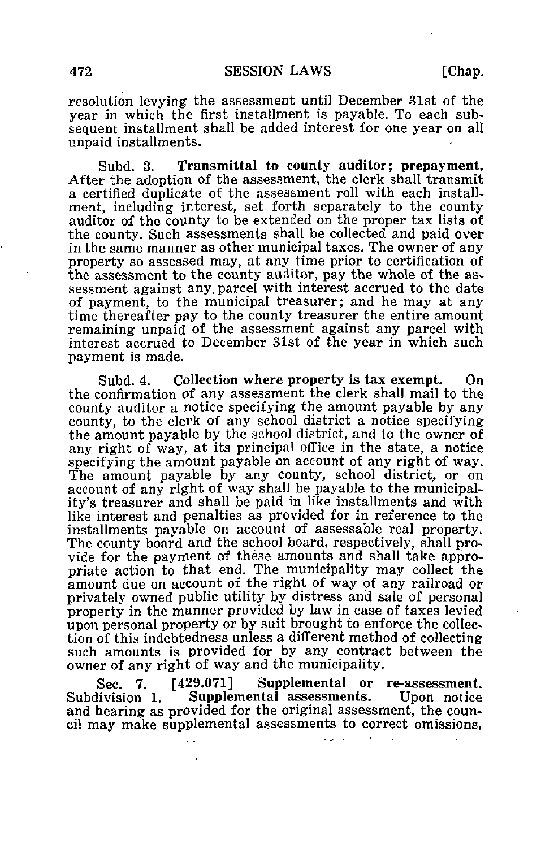resolution levying the assessment until December 31st of the year in which the first installment is payable. To each subsequent installment shall be added interest for one year on all unpaid installments.

Subd. 3. Transmittal to county auditor; prepayment, After the adoption of the assessment, the clerk shall transmit a certified duplicate of the assessment roll with each installment, including interest, set forth separately to the county auditor of the county to be extended on the proper tax lists of the county. Such assessments shall be collected and paid over in the same manner as other municipal taxes. The owner of any property so assessed may, at any time prior to certification of the assessment to the county auditor, pay the whole of the assessment against any, parcel with interest accrued to the date of payment, to the municipal treasurer; and he may at any time thereafter pay to the county treasurer the entire amount remaining unpaid of the assessment against any parcel with interest accrued to December 31st of the year in which such payment is made.

Subd. 4. Collection where property is tax exempt. On the confirmation of any assessment the clerk shall mail to the county auditor a notice specifying the amount payable by any county, to the clerk of any school district a notice specifying the amount payable by the school district, and to the owner of any right of way, at its principal office in the state, a notice specifying the amount payable on account of any right of way. The amount payable by any county, school district, or on account of any right of way shall be payable to the municipality's treasurer and shall be paid in like installments and with like interest and penalties as provided for in reference to the installments payable on account of assessable real property. The county board and the school board, respectively, shall provide for the payment of these amounts and shall take appropriate action to that end. The municipality may collect the amount due on account of the right of way of any railroad or privately owned public utility by distress and sale of personal property in the manner provided by law in case of taxes levied upon personal property or by suit brought to enforce the collection of this indebtedness unless a different method of collecting such amounts is provided for by any contract between the owner of any right of way and the municipality.

Sec. 7. [429.071] Supplemental or re-assessment.<br>Subdivision 1. Supplemental assessments. Upon notice Supplemental assessments. and hearing as provided for the original assessment, the council may make supplemental assessments to correct omissions,

 $\mathbf{1}$  and  $\mathbf{1}$ 

 $\mathbf{r}$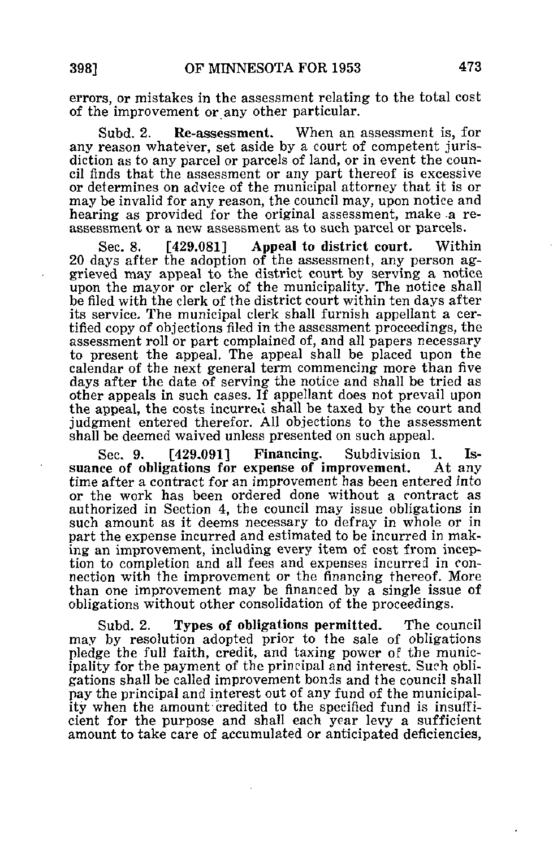errors, or mistakes in the assessment relating to the total cost of the improvement or any other particular.

Subd. 2. Re-assessment. When an assessment is, for any reason whatever, set aside by a court of competent jurisdiction as to any parcel or parcels of land, or in event the council finds that the assessment or any part thereof is excessive or determines on advice of the municipal attorney that it is or may be invalid for any reason, the council may, upon notice and hearing as provided for the original assessment, make a reassessment or a new assessment as to such parcel or parcels.

Sec. 8. [429.081] Appeal to district court. Within 20 days after the adoption of the assessment, any person aggrieved may appeal to the district court by serving a notice upon the mayor or clerk of the municipality. The notice shall be filed with the clerk of the district court within ten days after its service. The municipal clerk shall furnish appellant a certified copy of objections filed in the assessment proceedings, the assessment roll or part complained of, and all papers necessary to present the appeal. The appeal shall be placed upon the calendar of the next general term commencing more than five days after the date of serving the notice and shall be tried as other appeals in such cases. If appellant does not prevail upon the appeal, the costs incurred shall be taxed by the court and judgment entered therefor. All objections to the assessment shall be deemed waived unless presented on such appeal.

Sec. 9. [429.091] Financing. Subdivision 1. Is-<br>ee of obligations for expense of improvement. At any suance of obligations for expense of improvement. time after a contract for an improvement has been entered into or the work has been ordered done without a contract as authorized in Section 4, the council may issue obligations in such amount as it deems necessary to defray in whole or in part the expense incurred and estimated to be incurred in making an improvement, including every item of cost from inception to completion and all fees and expenses incurred in connection with the improvement or the financing thereof. More than one improvement may be financed by a single issue of obligations without other consolidation of the proceedings.

Subd. 2. Types of obligations permitted. The council may by resolution adopted prior to the sale of obligations pledge the full faith, credit, and taxing power of the municipality for the payment of the principal and interest. Such obligations shall be called improvement bonds and the council shall pay the principal and interest out of any fund of the municipality when the amount credited to the specified fund is insufficient for the purpose and shall each year levy a sufficient amount to take care of accumulated or anticipated deficiencies,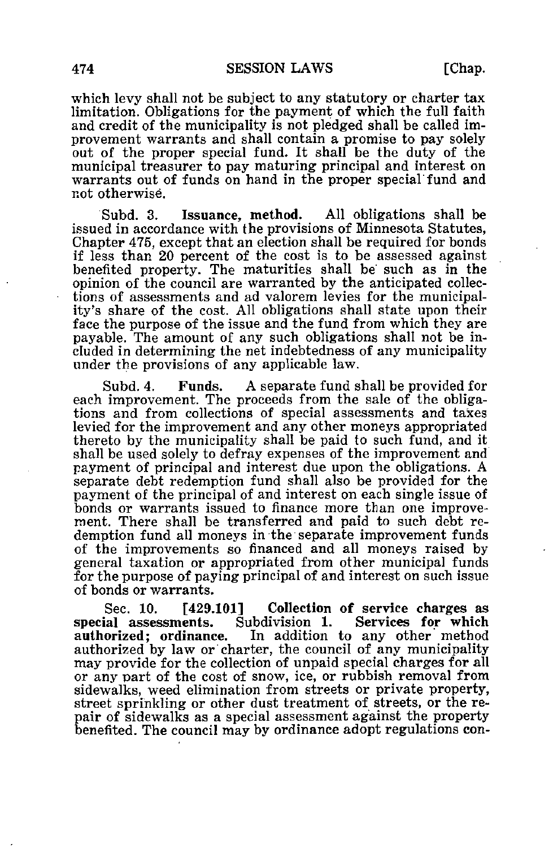which levy shall not be subject to any statutory or charter tax limitation. Obligations for the payment of which the full faith and credit of the municipality is not pledged shall be called improvement warrants and shall contain a promise to pay solely out of the proper special fund. It shall be the duty of the municipal treasurer to pay maturing principal and interest on warrants out of funds on hand in the proper special fund and not otherwise.

Subd. 3. Issuance, method. All obligations shall be issued in accordance with the provisions of Minnesota Statutes, Chapter 475, except that an election shall be required for bonds if less than 20 percent of the cost is to be assessed against benefited property. The maturities shall be such as in the opinion of the council are warranted by the anticipated collections of assessments and ad valorem levies for the municipality's share of the cost. All obligations shall state upon their face the purpose of the issue and the fund from which they are payable. The amount of any such obligations shall not be included in determining the net indebtedness of any municipality under the provisions of any applicable law.

Subd. 4. Funds. A separate fund shall be provided for each improvement. The proceeds from the sale of the obligations and from collections of special assessments and taxes levied for the improvement and any other moneys appropriated thereto by the municipality shall be paid to such fund, and it shall be used solely to defray expenses of the improvement and payment of principal and interest due upon the obligations. A separate debt redemption fund shall also be provided for the payment of the principal of and interest on each single issue of bonds or warrants issued to finance more than one improvement. There shall be transferred and paid to such debt redemption fund all moneys in the separate improvement funds of the improvements so financed and all moneys raised by general taxation or appropriated from other municipal funds for the purpose of paying principal of and interest on such issue of bonds or warrants.

Sec. 10. [429.101] Collection of service charges as<br>special assessments. Subdivision 1. Services for which special assessments. Subdivision 1. Services for which In addition to any other method authorized by law or charter, the council of any municipality may provide for the collection of unpaid special charges for all or any part of the cost of snow, ice, or rubbish removal from sidewalks, weed elimination from streets or private property, street sprinkling or other dust treatment of streets, or the repair of sidewalks as a special assessment against the property benefited. The council may by ordinance adopt regulations con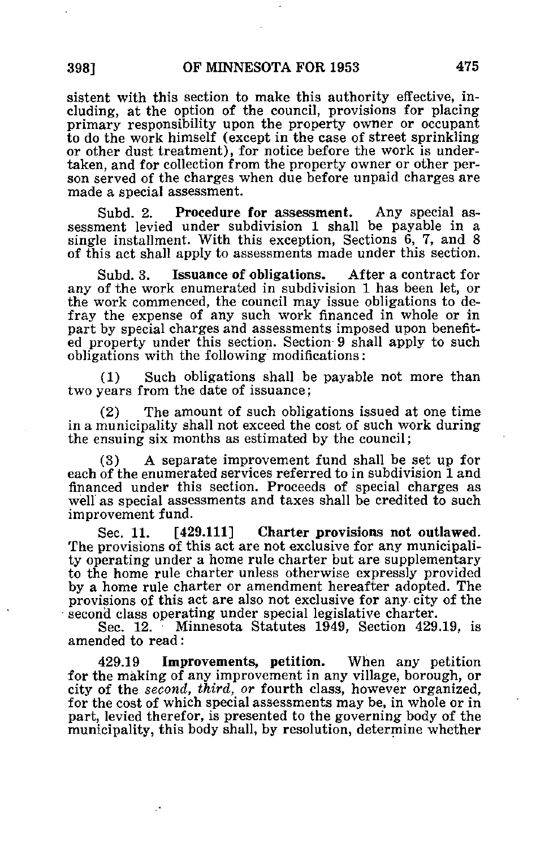sistent with this section to make this authority effective, including, at the option of the council, provisions for placing primary responsibility upon the property owner or occupant to do the work himself (except in the case of street sprinkling or other dust treatment), for notice before the work is undertaken, and for collection from the property owner or other person served of the charges when due before unpaid charges are made a special assessment.

Subd. 2. Procedure for assessment. Any special assessment levied under subdivision 1 shall be payable in a single installment. With this exception, Sections 6, 7, and 8 of this act shall apply to assessments made under this section.

Subd. 3. Issuance of obligations. After a contract for any of the work enumerated in subdivision 1 has been let, or the work commenced, the council may issue obligations to defray the expense of any such work financed in whole or in part by special charges and assessments imposed upon benefited property under this section. Section 9 shall apply to such obligations with the following modifications:

(1) Such obligations shall be payable not more than two years from the date of issuance;

(2) The amount of such obligations issued at one time in a municipality shall not exceed the cost of such work during the ensuing six months as estimated by the council;

(3) A separate improvement fund shall be set up for each of the enumerated services referred to in subdivision 1 and financed under this section. Proceeds of special charges as well as special assessments and taxes shall be credited to such improvement fund.

Sec. 11. [429.111] Charter provisions not outlawed. The provisions of this act are not exclusive for any municipality operating under a home rule charter but are supplementary to the home rule charter unless otherwise expressly provided by a home rule charter or amendment hereafter adopted. The provisions of this act are also not exclusive for any city of the second class operating under special legislative charter.

Sec. 12. Minnesota Statutes 1949, Section 429.19, is amended to read:

429.19 Improvements, petition. When any petition for the making of any improvement in any village, borough, or city of the second, third, or fourth class, however organized, for the cost of which special assessments may be, in whole or in part, levied therefor, is presented to the governing body of the municipality, this body shall, by resolution, determine whether

И,